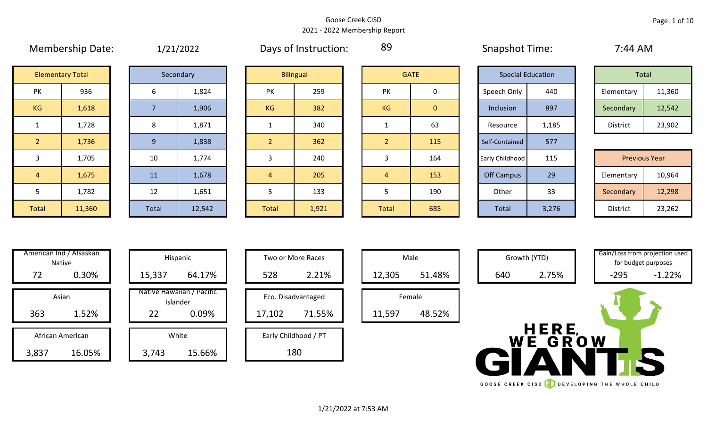### Goose Creek CISD 2021 - 2022 Membership Report

|                | $1.1.0.1.00$ c. $1.00$ c. $1.00$ c. $1.00$ |       | -, --, ---- |       | <u>, , , , , , , , , , , , , , , , , ,</u> |                |              | $5.00$ $\mu$ $5.00$ $\sigma$ $1.00$ $\sigma$ |                          |           | .          |                      |
|----------------|--------------------------------------------|-------|-------------|-------|--------------------------------------------|----------------|--------------|----------------------------------------------|--------------------------|-----------|------------|----------------------|
|                | <b>Elementary Total</b>                    |       | Secondary   |       | <b>Bilingual</b>                           |                | <b>GATE</b>  |                                              | <b>Special Education</b> |           | Total      |                      |
| PK             | 936                                        | 6     | 1,824       | PK    | 259                                        | <b>PK</b>      | 0            | Speech Only                                  | 440                      |           | Elementary | 11,360               |
| KG             | 1,618                                      |       | 1,906       | KG    | 382                                        | KG             | $\mathbf{0}$ | Inclusion                                    | 897                      | Secondary |            | 12,542               |
|                | 1,728                                      | 8     | 1,871       |       | 340                                        |                | 63           | Resource                                     | 1,185                    |           | District   | 23,902               |
| $\overline{2}$ | 1,736                                      | 9     | 1,838       |       | 362                                        | $\overline{2}$ | 115          | Self-Contained                               | 577                      |           |            |                      |
| 3              | 1,705                                      | 10    | 1,774       |       | 240                                        | 3              | 164          | Early Childhood                              | 115                      |           |            | <b>Previous Year</b> |
| $\overline{4}$ | 1,675                                      | 11    | 1,678       | 4     | 205                                        | 4              | 153          | <b>Off Campus</b>                            | 29                       |           | Elementary | 10,964               |
| 5              | 1,782                                      | 12    | 1,651       |       | 133                                        | 5              | 190          | Other                                        | 33                       |           | Secondary  | 12,298               |
| Total          | 11,360                                     | Total | 12,542      | Total | 1,921                                      | Total          | 685          | Total                                        | 3,276                    |           | District   | 23,262               |

Membership Date: 1/21/2022 Days of Instruction: 89 Snapshot Time: 7:44 AM

89

|             | <b>Special Education</b> |                 | Total  |
|-------------|--------------------------|-----------------|--------|
| Speech Only | 440                      | Elementary      | 11,360 |
| Inclusion   | 897                      | Secondary       | 12,542 |
| Resource    | 1,185                    | <b>District</b> | 23,902 |

|      | 1,705  | 10    | 1,774  |              | 240   |              | 164 | Early Childhood | 115   | <b>Previous Year</b> |        |
|------|--------|-------|--------|--------------|-------|--------------|-----|-----------------|-------|----------------------|--------|
|      | 1,675  | 11    | 1,678  | 4            | 205   |              | 153 | Off Campus      | 29    | Elementary           | 10,964 |
|      | 1,782  | 12    | 1,651  |              | 133   |              | 190 | Other           | 33    | Secondary            | 12,298 |
| otal | 11,360 | Total | 12,542 | <b>Total</b> | 1,921 | <b>Total</b> | 685 | Total           | 3,276 | District             | 23,262 |

| Hispani                    | American Ind / Alsaskan<br><b>Native</b> |     |
|----------------------------|------------------------------------------|-----|
| 15,337                     | 0.30%                                    | 72  |
| Native Hawaiiai<br>Islande | Asian                                    |     |
| 22                         | 1.52%                                    | 363 |
| White                      | African American                         |     |
|                            |                                          |     |

| American Ind / Alsaskan<br>Native<br>0.30%<br>72 | 15,337 | Hispanic<br>64.17%                             | 528    | Two or More Races<br>2.21%   | 12,305 | Male<br>51.48%   | 640       | Growth (YTD)<br>2.75% | Gain/Loss from projection us<br>$-295$ | for budget purposes<br>$-1.22%$ |
|--------------------------------------------------|--------|------------------------------------------------|--------|------------------------------|--------|------------------|-----------|-----------------------|----------------------------------------|---------------------------------|
| Asian<br>363<br>1.52%                            | 22     | Native Hawaiian / Pacific<br>Islander<br>0.09% | 17,102 | Eco. Disadvantaged<br>71.55% | 11,597 | Female<br>48.52% |           |                       |                                        |                                 |
| African American<br>3,837<br>16.05%              | 3,743  | White<br>15.66%                                |        | Early Childhood / PT<br>180  |        |                  | <b>WE</b> | HERE,<br>GROW         |                                        |                                 |

| Hispanic                      |        | <b>Two or More Races</b> |        | Male   |
|-------------------------------|--------|--------------------------|--------|--------|
| 64.17%                        | 528    | 2.21%                    | 12,305 |        |
| awaiian / Pacific<br>Islander |        | Eco. Disadvantaged       |        | Female |
| 0.09%                         | 17,102 | 71.55%                   | 11,597 | ı      |
| White                         |        | Early Childhood / PT     |        |        |
| 15.66%                        |        | 180                      |        |        |

|                  | Male   |  |  |  |  |  |  |  |  |  |
|------------------|--------|--|--|--|--|--|--|--|--|--|
| 51.48%<br>12,305 |        |  |  |  |  |  |  |  |  |  |
| Female           |        |  |  |  |  |  |  |  |  |  |
| 11,597           | 48.52% |  |  |  |  |  |  |  |  |  |



HERE WE GROW

GOOSE CREEK CISD **CONSERVANCE THE WHOLE CHILD** 

for budget purposes

1/21/2022 at 7:53 AM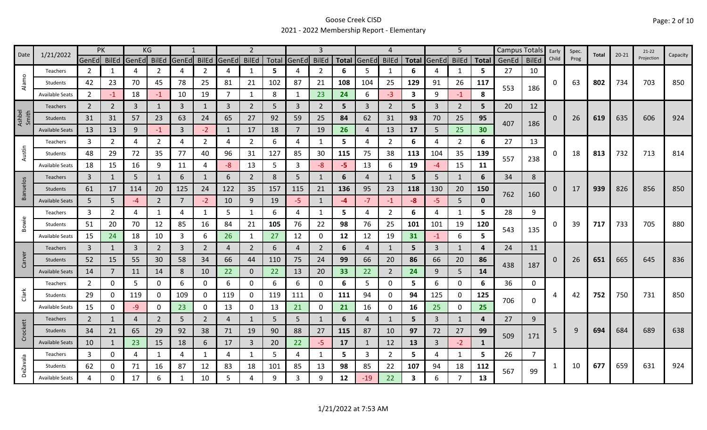## Goose Creek CISD 2021 - 2022 Membership Report - Elementary

| Date            | 1/21/2022              | PK             |                |       | KG             |             |                |              |                |       |                |                |              |                | 4              |       |       | 5              |              |       | Campus Totals | Early    | Spec. | Total | $20 - 21$ | $21-22$    | Capacity |
|-----------------|------------------------|----------------|----------------|-------|----------------|-------------|----------------|--------------|----------------|-------|----------------|----------------|--------------|----------------|----------------|-------|-------|----------------|--------------|-------|---------------|----------|-------|-------|-----------|------------|----------|
|                 |                        | GenEd          | <b>BilEd</b>   | GenEd | <b>BilEd</b>   | GenEd BilEd |                | GenEd        | <b>BilEd</b>   | Total | <b>GenEd</b>   | <b>BilEd</b>   | <b>Total</b> | GenEd          | <b>BilEd</b>   | Total | GenEd | <b>BilEd</b>   | <b>Total</b> | GenEd | <b>BilEd</b>  | Child    | Prog  |       |           | Projection |          |
| $\circ$         | Teachers               | 2              | 1              | 4     | $\mathcal{P}$  | Δ           | $\overline{2}$ | Δ            | 1              | 5     | 4              | $\overline{2}$ | 6            | 5              | -1             | 6     | 4     | 1              | 5            | 27    | 10            |          |       |       |           |            |          |
| Alam            | Students               | 42             | 23             | 70    | 45             | 78          | 25             | 81           | 21             | 102   | 87             | 21             | 108          | 104            | 25             | 129   | 91    | 26             | 117          | 553   | 186           | 0        | 63    | 802   | 734       | 703        | 850      |
|                 | <b>Available Seats</b> | $\overline{2}$ | $-1$           | 18    | -1             | 10          | 19             | 7            | $\mathbf{1}$   | 8     | 1              | 23             | 24           | 6              | $-3$           | 3     | 9     | $-1$           | 8            |       |               |          |       |       |           |            |          |
|                 | <b>Teachers</b>        | $\overline{2}$ | 2              | 3     | 1              | 3           | $\mathbf{1}$   | 3            | $\overline{2}$ | 5     | 3              | $\overline{2}$ | 5            | $\overline{3}$ | 2              | 5     | 3     | $\overline{2}$ | 5            | 20    | 12            |          |       |       |           |            |          |
| Ashbel<br>Smith | Students               | 31             | 31             | 57    | 23             | 63          | 24             | 65           | 27             | 92    | 59             | 25             | 84           | 62             | 31             | 93    | 70    | 25             | 95           | 407   | 186           | $\Omega$ | 26    | 619   | 635       | 606        | 924      |
|                 | <b>Available Seats</b> | 13             | 13             | 9     | $-1$           | 3           | $-2$           | $\mathbf{1}$ | 17             | 18    | $\overline{7}$ | 19             | 26           | 4              | 13             | 17    | 5     | 25             | 30           |       |               |          |       |       |           |            |          |
|                 | Teachers               | 3              | 2              | 4     | $\overline{2}$ | 4           | $\mathbf{2}$   | 4            | $\overline{2}$ | 6     | 4              | 1              | 5            | 4              | 2              | 6     | 4     | 2              | 6            | 27    | 13            |          |       |       |           |            |          |
| Austin          | Students               | 48             | 29             | 72    | 35             | 77          | 40             | 96           | 31             | 127   | 85             | 30             | 115          | 75             | 38             | 113   | 104   | 35             | 139          | 557   | 238           | 0        | 18    | 813   | 732       | 713        | 814      |
|                 | <b>Available Seats</b> | 18             | 15             | 16    | 9              | 11          | 4              | $-8$         | 13             | 5     | 3              | -8             | -5           | 13             | 6              | 19    | -4    | 15             | <b>11</b>    |       |               |          |       |       |           |            |          |
|                 | Teachers               | $\overline{3}$ | 1              | 5     | 1              | 6           | 1              | 6            | $\overline{2}$ | 8     | 5              | 1              | 6            | 4              | 1              | 5     | 5     | 1              | 6            | 34    | $\bf 8$       |          |       |       |           |            |          |
| Banuelos        | Students               | 61             | 17             | 114   | 20             | 125         | 24             | 122          | 35             | 157   | 115            | 21             | 136          | 95             | 23             | 118   | 130   | 20             | 150          |       |               | 0        | 17    | 939   | 826       | 856        | 850      |
|                 | <b>Available Seats</b> | 5              | 5              | $-4$  | $\overline{2}$ | 7           | $-2$           | 10           | 9              | 19    | -5             | $\mathbf{1}$   | -4           | $-7$           | $-1$           | -8    | -5    | 5              | O            | 762   | 160           |          |       |       |           |            |          |
|                 | Teachers               | 3              | $\overline{2}$ | 4     |                | 4           | $\mathbf{1}$   | 5            | $\mathbf{1}$   | 6     | 4              |                | 5            | 4              | $\overline{2}$ | 6     | 4     | $\mathbf{1}$   | 5.           | 28    | 9             |          |       |       |           |            |          |
| Bowie           | Students               | 51             | 20             | 70    | 12             | 85          | 16             | 84           | 21             | 105   | 76             | 22             | 98           | 76             | 25             | 101   | 101   | 19             | 120          |       |               | 0        | 39    | 717   | 733       | 705        | 880      |
|                 | <b>Available Seats</b> | 15             | 24             | 18    | 10             | 3           | 6              | 26           | 1              | 27    | 12             | 0              | 12           | 12             | 19             | 31    | $-1$  | 6              | 5            | 543   | 135           |          |       |       |           |            |          |
|                 | Teachers               | 3              | $\mathbf{1}$   | 3     | $\overline{2}$ | 3           | $\overline{2}$ | 4            | $\overline{2}$ | 6     | $\overline{a}$ | $\overline{2}$ | 6            | $\overline{4}$ | $\overline{1}$ | 5     | 3     | 1              | 4            | 24    | 11            |          |       |       |           |            |          |
| Carver          | Students               | 52             | 15             | 55    | 30             | 58          | 34             | 66           | 44             | 110   | 75             | 24             | 99           | 66             | 20             | 86    | 66    | 20             | 86           |       |               | $\Omega$ | 26    | 651   | 665       | 645        | 836      |
|                 | <b>Available Seats</b> | 14             | 7              | 11    | 14             | 8           | 10             | 22           | $\mathbf{0}$   | 22    | 13             | 20             | 33           | 22             | $\overline{2}$ | 24    | 9     | 5              | 14           | 438   | 187           |          |       |       |           |            |          |
|                 | Teachers               | 2              | 0              | 5     | 0              | 6           | 0              | 6            | 0              | 6     | 6              | 0              | 6            | 5              | 0              | 5.    | 6     | 0              | 6            | 36    | 0             |          |       |       |           |            |          |
| Clark           | Students               | 29             | 0              | 119   | 0              | 109         | 0              | 119          | 0              | 119   | 111            | 0              | 111          | 94             | 0              | 94    | 125   | 0              | 125          | 706   |               | 4        | 42    | 752   | 750       | 731        | 850      |
|                 | <b>Available Seats</b> | 15             | 0              | -9    | 0              | 23          | 0              | 13           | $\mathsf{O}$   | 13    | 21             | 0              | 21           | 16             | 0              | 16    | 25    | 0              | 25           |       | 0             |          |       |       |           |            |          |
|                 | Teachers               | $\overline{2}$ | 1              | 4     | 2              | 5           | $\overline{2}$ | 4            | $\mathbf{1}$   | 5     | 5              | 1              | 6            | 4              | $\mathbf{1}$   | 5.    | 3     | $\mathbf{1}$   | 4            | 27    | 9             |          |       |       |           |            |          |
| Crockett        | Students               | 34             | 21             | 65    | 29             | 92          | 38             | 71           | 19             | 90    | 88             | 27             | 115          | 87             | 10             | 97    | 72    | 27             | 99           |       |               | 5        | 9     | 694   | 684       | 689        | 638      |
|                 | <b>Available Seats</b> | 10             | $\mathbf{1}$   | 23    | 15             | 18          | 6              | 17           | $\mathbf{3}$   | 20    | 22             | -5             | 17           | $\mathbf{1}$   | 12             | 13    | 3     | $-2$           | 1            | 509   | 171           |          |       |       |           |            |          |
|                 | Teachers               | 3              | 0              | 4     | 1              | 4           | $\mathbf{1}$   | 4            | 1              | 5     | 4              | 1              | 5            | $\overline{3}$ | $\overline{2}$ | 5     | 4     | $\mathbf{1}$   | 5            | 26    | 7             |          |       |       |           |            |          |
| <b>DeZavala</b> | Students               | 62             | 0              | 71    | 16             | 87          | 12             | 83           | 18             | 101   | 85             | 13             | 98           | 85             | 22             | 107   | 94    | 18             | 112          | 567   |               |          | 10    | 677   | 659       | 631        | 924      |
|                 | <b>Available Seats</b> | 4              | 0              | 17    | 6              | 1           | 10             | 5            | 4              | q     | 3              | 9              | 12           | $-19$          | 22             | 3     | 6     | $\overline{7}$ | 13           |       | 99            |          |       |       |           |            |          |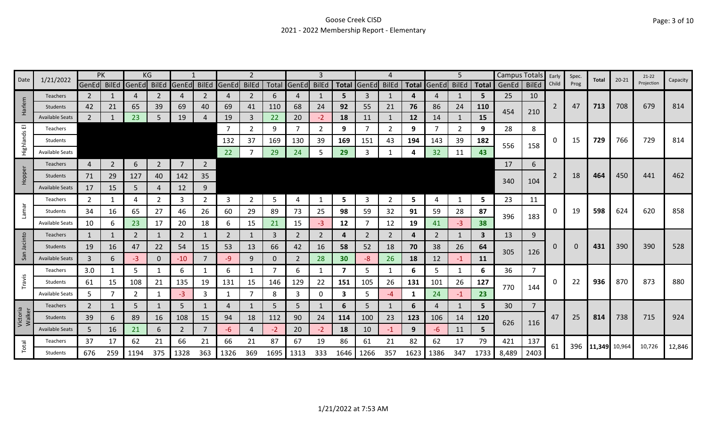## Goose Creek CISD 2021 - 2022 Membership Report - Elementary

| Date               | 1/21/2022              | PK             |                | KG             |             |                |                |             | 2              |      |                   | 3        |              |                |              |              |                | 5.           |                         | <b>Campus Totals</b> |                | Early    | Spec.    | Total  | $20 - 21$ | $21-22$    | Capacity |
|--------------------|------------------------|----------------|----------------|----------------|-------------|----------------|----------------|-------------|----------------|------|-------------------|----------|--------------|----------------|--------------|--------------|----------------|--------------|-------------------------|----------------------|----------------|----------|----------|--------|-----------|------------|----------|
|                    |                        | GenEd BilEd    |                | GenEd          | BilEd       | GenEd BilEd    |                | GenEd BilEd |                |      | Total GenEd BilEd |          | <b>Total</b> | <b>GenEd</b>   | <b>BilEd</b> | <b>Total</b> | GenEd          | <b>BilEd</b> | <b>Total</b>            | GenEd                | <b>BilEd</b>   | Child    | Prog     |        |           | Projection |          |
|                    | <b>Teachers</b>        | 2              |                | 4              | 2           | 4              | 2              | 4           | 2              | 6    | 4                 |          | 5            | 3              | 1            | 4            | $\overline{4}$ | -1           | 5                       | 25                   | 10             |          |          |        |           |            |          |
| Harlem             | Students               | 42             | 21             | 65             | 39          | 69             | 40             | 69          | 41             | 110  | 68                | 24       | 92           | 55             | 21           | 76           | 86             | 24           | <b>110</b>              | 454                  | 210            | 2        | 47       | 713    | 708       | 679        | 814      |
|                    | <b>Available Seats</b> | $2^{\circ}$    |                | 23             |             | 19             |                | 19          | 3              | 22   | 20                | $-2$     | 18           | 11             | 1            | 12           | 14             |              | 15                      |                      |                |          |          |        |           |            |          |
| 画                  | <b>Teachers</b>        |                |                |                |             |                |                | 7           | $\overline{2}$ | 9    | $\overline{7}$    | 2        | 9            |                | 2            | 9            | -7             | 2            | 9                       | 28                   | 8              |          |          |        |           |            |          |
| Highlands          | Students               |                |                |                |             |                |                | 132         | 37             | 169  | 130               | 39       | 169          | 151            | 43           | 194          | 143            | 39           | 182                     | 556                  | 158            | 0        | 15       | 729    | 766       | 729        | 814      |
|                    | <b>Available Seats</b> |                |                |                |             |                |                | 22          |                | 29   | 24                | 5        | 29           | 3              |              |              | 32             | 11           | 43                      |                      |                |          |          |        |           |            |          |
|                    | <b>Teachers</b>        | $\overline{4}$ | $\overline{2}$ | 6              | $2^{\circ}$ | $\overline{7}$ | $\overline{2}$ |             |                |      |                   |          |              |                |              |              |                |              |                         | 17                   | 6              |          |          |        |           |            |          |
| Hopper             | Students               | 71             | 29             | 127            | 40          | 142            | 35             |             |                |      |                   |          |              |                |              |              |                |              |                         |                      |                | 2        | 18       | 464    | 450       | 441        | 462      |
|                    | <b>Available Seats</b> | 17             | 15             | 5              | 4           | 12             | 9              |             |                |      |                   |          |              |                |              |              |                |              |                         | 340                  | 104            |          |          |        |           |            |          |
|                    | Teachers               | 2              |                | 4              | 2           | 3              | 2              | 3           | $\overline{2}$ | 5    | 4                 |          | 5            | 3              | 2            | 5            | 4              | -1           | 5                       | 23                   | 11             |          |          |        |           |            |          |
| Lamar              | Students               | 34             | 16             | 65             | 27          | 46             | 26             | 60          | 29             | 89   | 73                | 25       | 98           | 59             | 32           | 91           | 59             | 28           | 87                      |                      |                | 0        | 19       | 598    | 624       | 620        | 858      |
|                    | <b>Available Seats</b> | 10             | 6              | 23             | 17          | 20             | 18             | 6           | 15             | 21   | 15                | $-3$     | 12           |                | 12           | 19           | 41             | $-3$         | 38                      | 396                  | 183            |          |          |        |           |            |          |
|                    | <b>Teachers</b>        | $\mathbf{1}$   | -1             | $\overline{2}$ | 1           | 2              |                | 2           | 1              | 3    | 2                 | 2        | 4            | $\overline{2}$ | 2            | 4            | 2              | 1            | $\overline{\mathbf{3}}$ | 13                   | 9              |          |          |        |           |            |          |
| San Jacinto        | Students               | 19             | 16             | 47             | 22          | 54             | 15             | 53          | 13             | 66   | 42                | 16       | 58           | 52             | 18           | 70           | 38             | 26           | 64                      |                      |                | 0        | $\Omega$ | 431    | 390       | 390        | 528      |
|                    | <b>Available Seats</b> | $\mathbf{3}$   | 6              | $-3$           | 0           | $-10$          | $\overline{7}$ | -9          | 9              | 0    | $\overline{2}$    | 28       | 30           | -8             | 26           | 18           | 12             | $-1$         | <b>11</b>               | 305                  | 126            |          |          |        |           |            |          |
|                    | Teachers               | 3.0            | -1             | 5              |             | 6              |                | 6           | $\mathbf{1}$   |      | 6                 |          | 7            | 5.             | 1            | 6            | 5              | 1            | 6                       | 36                   | 7              |          |          |        |           |            |          |
| Travis             | Students               | 61             | 15             | 108            | 21          | 135            | 19             | 131         | 15             | 146  | 129               | 22       | 151          | 105            | 26           | 131          | 101            | 26           | 127                     |                      |                | $\Omega$ | 22       | 936    | 870       | 873        | 880      |
|                    | <b>Available Seats</b> | 5              |                | $\overline{2}$ |             | $-3$           | 3              | $\mathbf 1$ | $\overline{7}$ | 8    | 3                 | $\Omega$ | 3            | 5.             | -4           | 1            | 24             | $-1$         | 23                      | 770                  | 144            |          |          |        |           |            |          |
|                    | Teachers               | $\overline{2}$ |                | 5              |             | 5              |                | 4           | $\mathbf{1}$   | -5   | 5                 |          | 6            | 5              | 1            | 6            | 4              | $\mathbf{1}$ | 5                       | 30                   | $\overline{7}$ |          |          |        |           |            |          |
| Victoria<br>Walker | Students               | 39             | 6              | 89             | 16          | 108            | 15             | 94          | 18             | 112  | 90                | 24       | 114          | 100            | 23           | 123          | 106            | 14           | 120                     |                      |                | 47       | 25       | 814    | 738       | 715        | 924      |
|                    | <b>Available Seats</b> | 5              | 16             | 21             | 6           | $\overline{2}$ | $\overline{7}$ | -6          | 4              | $-2$ | 20                | $-2$     | 18           | 10             | $-1$         | 9            | -6             | 11           | 5                       | 626                  | 116            |          |          |        |           |            |          |
|                    | Teachers               | 37             | 17             | 62             | 21          | 66             | 21             | 66          | 21             | 87   | 67                | 19       | 86           | 61             | 21           | 82           | 62             | 17           | 79                      | 421                  | 137            |          |          |        |           |            |          |
| Total              | Students               | 676            | 259            | 1194           | 375         | 1328           | 363            | 1326        | 369            | 1695 | 1313              | 333      | 1646         | 1266           | 357          | 1623         | 1386           | 347          | 1733                    | 8,489                | 2403           | 61       | 396      | 11,349 | 10,964    | 10,726     | 12,846   |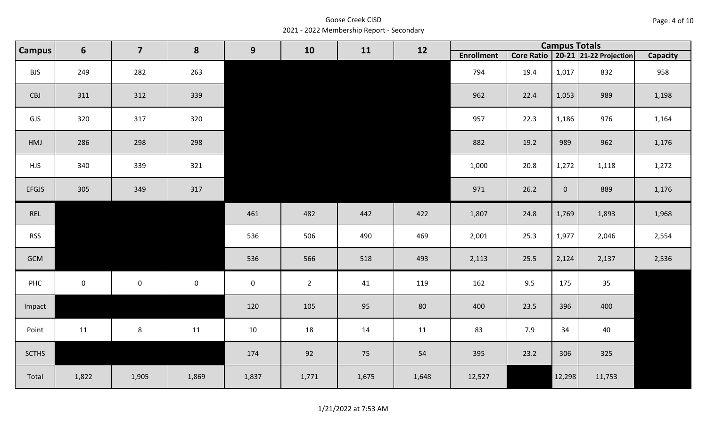Goose Creek CISD 2021 - 2022 Membership Report - Secondary

| <b>Campus</b> | $6\phantom{1}6$ | $\overline{\mathbf{z}}$ | 8         | 9           | 10             | 11    | 12    |                   |      | <b>Campus Totals</b> |                                       |                 |
|---------------|-----------------|-------------------------|-----------|-------------|----------------|-------|-------|-------------------|------|----------------------|---------------------------------------|-----------------|
|               |                 |                         |           |             |                |       |       | <b>Enrollment</b> |      |                      | Core Ratio   20-21   21-22 Projection | <b>Capacity</b> |
| <b>BJS</b>    | 249             | 282                     | 263       |             |                |       |       | 794               | 19.4 | 1,017                | 832                                   | 958             |
| CBJ           | 311             | 312                     | 339       |             |                |       |       | 962               | 22.4 | 1,053                | 989                                   | 1,198           |
| GJS           | 320             | 317                     | 320       |             |                |       |       | 957               | 22.3 | 1,186                | 976                                   | 1,164           |
| HMJ           | 286             | 298                     | 298       |             |                |       |       | 882               | 19.2 | 989                  | 962                                   | 1,176           |
| <b>HJS</b>    | 340             | 339                     | 321       |             |                |       |       | 1,000             | 20.8 | 1,272                | 1,118                                 | 1,272           |
| <b>EFGJS</b>  | 305             | 349                     | 317       |             |                |       |       | 971               | 26.2 | $\overline{0}$       | 889                                   | 1,176           |
| REL           |                 |                         |           | 461         | 482            | 442   | 422   | 1,807             | 24.8 | 1,769                | 1,893                                 | 1,968           |
| <b>RSS</b>    |                 |                         |           | 536         | 506            | 490   | 469   | 2,001             | 25.3 | 1,977                | 2,046                                 | 2,554           |
| GCM           |                 |                         |           | 536         | 566            | 518   | 493   | 2,113             | 25.5 | 2,124                | 2,137                                 | 2,536           |
| PHC           | $\pmb{0}$       | $\mathbf 0$             | $\pmb{0}$ | $\mathbf 0$ | $\overline{2}$ | 41    | 119   | 162               | 9.5  | 175                  | 35                                    |                 |
| Impact        |                 |                         |           | 120         | 105            | 95    | 80    | 400               | 23.5 | 396                  | 400                                   |                 |
| Point         | 11              | $\bf 8$                 | 11        | $10\,$      | 18             | 14    | 11    | 83                | 7.9  | 34                   | 40                                    |                 |
| <b>SCTHS</b>  |                 |                         |           | 174         | 92             | 75    | 54    | 395               | 23.2 | 306                  | 325                                   |                 |
| Total         | 1,822           | 1,905                   | 1,869     | 1,837       | 1,771          | 1,675 | 1,648 | 12,527            |      | 12,298               | 11,753                                |                 |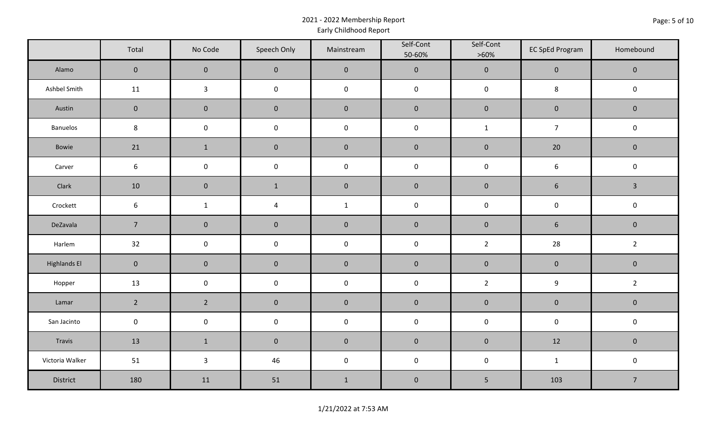## 2021 - 2022 Membership Report Early Childhood Report

|                     | Total               | No Code        | Speech Only         | Mainstream   | Self-Cont<br>50-60% | Self-Cont<br>$>60\%$ | <b>EC SpEd Program</b> | Homebound      |
|---------------------|---------------------|----------------|---------------------|--------------|---------------------|----------------------|------------------------|----------------|
| Alamo               | $\overline{0}$      | $\mathbf 0$    | $\pmb{0}$           | $\mathbf 0$  | $\mathbf 0$         | $\mathbf 0$          | $\mathbf 0$            | $\overline{0}$ |
| Ashbel Smith        | 11                  | $\mathbf{3}$   | $\pmb{0}$           | $\mathsf 0$  | $\mathsf 0$         | $\mathsf 0$          | 8                      | $\mathbf 0$    |
| Austin              | $\mathsf{O}\xspace$ | $\pmb{0}$      | $\pmb{0}$           | $\pmb{0}$    | $\pmb{0}$           | $\pmb{0}$            | $\mathsf{O}\xspace$    | $\mathbf 0$    |
| Banuelos            | $\,8\,$             | $\pmb{0}$      | $\pmb{0}$           | $\mathbf 0$  | $\mathbf 0$         | $\mathbf{1}$         | $\overline{7}$         | $\mathbf 0$    |
| Bowie               | 21                  | $\mathbf 1$    | $\pmb{0}$           | $\pmb{0}$    | $\pmb{0}$           | $\mathbf 0$          | 20                     | $\mathbf 0$    |
| Carver              | 6                   | $\pmb{0}$      | $\pmb{0}$           | $\mathbf 0$  | $\mathbf 0$         | $\mathsf 0$          | $\boldsymbol{6}$       | $\mathbf 0$    |
| Clark               | 10                  | $\pmb{0}$      | $\mathbf{1}$        | $\pmb{0}$    | $\pmb{0}$           | $\mathbf 0$          | $\sqrt{6}$             | $\mathbf{3}$   |
| Crockett            | $6\,$               | $\mathbf 1$    | 4                   | $\mathbf{1}$ | $\mathbf 0$         | $\pmb{0}$            | $\mathsf{O}\xspace$    | $\mathsf 0$    |
| DeZavala            | $\overline{7}$      | $\pmb{0}$      | $\pmb{0}$           | $\mathbf 0$  | $\mathbf 0$         | $\mathbf 0$          | $\sqrt{6}$             | $\mathbf 0$    |
| Harlem              | 32                  | $\pmb{0}$      | $\pmb{0}$           | $\mathbf 0$  | $\mathbf 0$         | $\overline{2}$       | 28                     | $\overline{2}$ |
| <b>Highlands El</b> | $\mathbf 0$         | $\pmb{0}$      | $\pmb{0}$           | $\pmb{0}$    | $\pmb{0}$           | $\mathbf 0$          | $\mathbf 0$            | $\mathbf 0$    |
| Hopper              | 13                  | $\pmb{0}$      | $\mathsf{O}\xspace$ | $\mathbf 0$  | $\pmb{0}$           | $\overline{2}$       | $\boldsymbol{9}$       | $\overline{2}$ |
| Lamar               | $2^{\circ}$         | $\overline{2}$ | $\pmb{0}$           | $\mathbf 0$  | $\pmb{0}$           | $\mathbf 0$          | $\mathbf 0$            | $\mathbf 0$    |
| San Jacinto         | $\mathbf 0$         | $\pmb{0}$      | $\pmb{0}$           | $\pmb{0}$    | $\pmb{0}$           | $\pmb{0}$            | $\pmb{0}$              | $\mathbf 0$    |
| Travis              | 13                  | $1\,$          | $\pmb{0}$           | $\pmb{0}$    | $\pmb{0}$           | $\pmb{0}$            | 12                     | $\mathbf 0$    |
| Victoria Walker     | 51                  | $\mathbf{3}$   | 46                  | $\mathbf 0$  | $\mathsf{O}\xspace$ | $\pmb{0}$            | $\mathbf{1}$           | $\mathsf 0$    |
| District            | 180                 | 11             | 51                  | $\mathbf{1}$ | $\pmb{0}$           | 5                    | 103                    | $\overline{7}$ |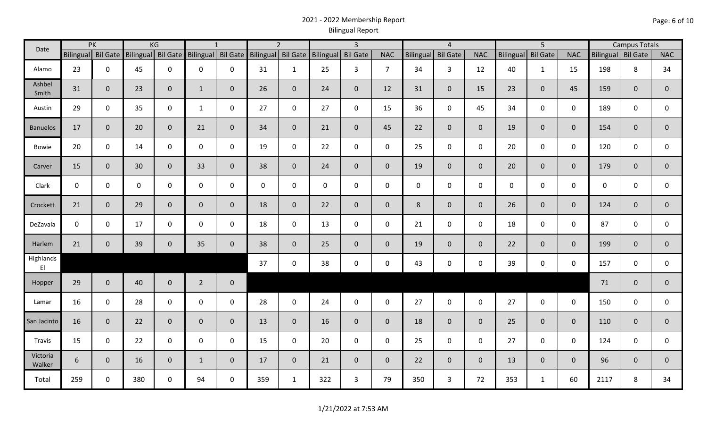## 2021 - 2022 Membership Report Bilingual Report

| Date               |             | PK                 |             | KG             |                                       | $\mathbf{1}$   |                    | $\overline{2}$ |                    | $\overline{3}$ |                |                  | $\overline{4}$  |                |                  | 5 <sup>5</sup>  |                |                    | <b>Campus Totals</b> |                |
|--------------------|-------------|--------------------|-------------|----------------|---------------------------------------|----------------|--------------------|----------------|--------------------|----------------|----------------|------------------|-----------------|----------------|------------------|-----------------|----------------|--------------------|----------------------|----------------|
|                    |             | Bilingual Bil Gate |             |                | Bilingual Bil Gate Bilingual Bil Gate |                | Bilingual Bil Gate |                | Bilingual Bil Gate |                | <b>NAC</b>     | <b>Bilingual</b> | <b>Bil Gate</b> | <b>NAC</b>     | <b>Bilingual</b> | <b>Bil Gate</b> | <b>NAC</b>     | Bilingual Bil Gate |                      | <b>NAC</b>     |
| Alamo              | 23          | $\mathbf 0$        | 45          | $\mathbf 0$    | $\mathsf{O}$                          | 0              | 31                 | $\mathbf{1}$   | 25                 | 3              | $\overline{7}$ | 34               | $\mathbf{3}$    | 12             | 40               | $\mathbf{1}$    | 15             | 198                | 8                    | 34             |
| Ashbel<br>Smith    | 31          | $\mathbf 0$        | 23          | $\mathbf 0$    | $\mathbf{1}$                          | $\overline{0}$ | 26                 | $\overline{0}$ | 24                 | $\mathbf{0}$   | 12             | 31               | $\overline{0}$  | 15             | 23               | $\mathbf{0}$    | 45             | 159                | $\mathbf{0}$         | $\mathbf 0$    |
| Austin             | 29          | $\mathbf 0$        | 35          | $\mathbf 0$    | $\mathbf{1}$                          | $\mathbf 0$    | 27                 | $\mathsf{O}$   | 27                 | $\mathbf 0$    | 15             | 36               | $\mathbf 0$     | 45             | 34               | $\mathbf 0$     | $\mathbf 0$    | 189                | $\mathbf 0$          | 0              |
| <b>Banuelos</b>    | 17          | $\overline{0}$     | 20          | $\mathbf 0$    | 21                                    | $\overline{0}$ | 34                 | $\overline{0}$ | 21                 | $\overline{0}$ | 45             | 22               | $\overline{0}$  | $\overline{0}$ | 19               | $\overline{0}$  | $\overline{0}$ | 154                | $\mathbf 0$          | $\mathbf 0$    |
| Bowie              | 20          | $\mathbf 0$        | 14          | $\mathsf{O}$   | $\mathbf 0$                           | 0              | 19                 | $\mathbf 0$    | 22                 | $\mathbf 0$    | $\mathbf 0$    | 25               | $\mathbf 0$     | $\mathbf 0$    | 20               | 0               | $\mathbf 0$    | 120                | $\mathbf 0$          | $\mathbf 0$    |
| Carver             | 15          | $\mathbf 0$        | 30          | $\mathbf{0}$   | 33                                    | $\overline{0}$ | 38                 | $\overline{0}$ | 24                 | $\overline{0}$ | $\mathbf{0}$   | 19               | $\mathbf 0$     | $\overline{0}$ | 20               | $\mathbf{0}$    | $\mathbf{0}$   | 179                | $\mathbf{0}$         | $\mathbf 0$    |
| Clark              | $\mathbf 0$ | $\mathbf 0$        | $\mathbf 0$ | $\mathbf 0$    | $\mathbf 0$                           | $\mathbf 0$    | $\mathbf 0$        | $\mathbf 0$    | $\mathbf 0$        | $\mathbf 0$    | $\mathbf 0$    | $\mathbf 0$      | $\mathbf 0$     | $\mathbf 0$    | $\mathbf 0$      | $\mathbf 0$     | $\mathbf 0$    | $\mathbf 0$        | $\mathbf 0$          | 0              |
| Crockett           | 21          | $\mathbf 0$        | 29          | $\mathbf 0$    | $\mathbf 0$                           | $\overline{0}$ | 18                 | $\overline{0}$ | 22                 | $\overline{0}$ | $\overline{0}$ | 8                | $\overline{0}$  | $\overline{0}$ | 26               | $\overline{0}$  | $\mathbf{0}$   | 124                | $\mathbf{0}$         | $\mathbf 0$    |
| DeZavala           | $\mathbf 0$ | $\mathbf 0$        | 17          | $\mathbf 0$    | $\mathbf 0$                           | $\mathbf 0$    | 18                 | $\mathbf 0$    | 13                 | $\mathbf 0$    | $\mathbf 0$    | 21               | $\mathbf 0$     | $\mathbf 0$    | 18               | $\mathbf 0$     | $\mathbf 0$    | 87                 | $\mathbf 0$          | $\mathsf{O}$   |
| Harlem             | 21          | $\mathbf 0$        | 39          | $\mathbf 0$    | 35                                    | $\mathbf 0$    | 38                 | $\overline{0}$ | 25                 | $\overline{0}$ | $\overline{0}$ | 19               | $\overline{0}$  | $\overline{0}$ | 22               | $\mathbf{0}$    | $\mathbf{0}$   | 199                | $\overline{0}$       | $\overline{0}$ |
| Highlands<br>E1    |             |                    |             |                |                                       |                | 37                 | $\mathbf 0$    | 38                 | $\mathbf 0$    | $\mathbf 0$    | 43               | $\mathbf 0$     | $\mathbf 0$    | 39               | 0               | $\mathbf 0$    | 157                | $\mathbf 0$          | 0              |
| Hopper             | 29          | $\mathbf 0$        | 40          | $\mathbf 0$    | $\overline{2}$                        | $\mathbf 0$    |                    |                |                    |                |                |                  |                 |                |                  |                 |                | 71                 | $\mathbf{0}$         | $\pmb{0}$      |
| Lamar              | 16          | $\mathbf 0$        | 28          | $\mathbf 0$    | $\mathsf{O}$                          | $\mathbf{0}$   | 28                 | $\mathbf 0$    | 24                 | $\mathbf 0$    | $\mathbf 0$    | 27               | $\mathbf 0$     | $\mathsf{O}$   | 27               | $\mathbf 0$     | $\mathbf 0$    | 150                | $\mathbf 0$          | 0              |
| San Jacinto        | 16          | $\mathbf{0}$       | 22          | $\overline{0}$ | $\mathbf 0$                           | $\mathbf{0}$   | 13                 | $\overline{0}$ | 16                 | $\overline{0}$ | $\overline{0}$ | 18               | $\mathbf 0$     | $\overline{0}$ | 25               | $\overline{0}$  | $\mathbf{0}$   | 110                | $\mathbf{0}$         | $\overline{0}$ |
| Travis             | 15          | $\mathbf 0$        | 22          | $\mathbf 0$    | $\mathsf{O}$                          | $\mathbf 0$    | 15                 | $\mathbf{0}$   | 20                 | $\mathbf 0$    | $\mathbf 0$    | 25               | $\mathbf 0$     | $\mathbf 0$    | 27               | $\mathbf 0$     | $\mathbf 0$    | 124                | $\mathbf 0$          | 0              |
| Victoria<br>Walker | 6           | $\mathbf 0$        | 16          | $\overline{0}$ | $\mathbf{1}$                          | $\overline{0}$ | 17                 | $\overline{0}$ | 21                 | $\overline{0}$ | $\mathbf{0}$   | 22               | $\overline{0}$  | $\overline{0}$ | 13               | $\overline{0}$  | $\mathbf{0}$   | 96                 | $\mathbf{0}$         | $\mathbf{0}$   |
| Total              | 259         | 0                  | 380         | $\mathbf 0$    | 94                                    | 0              | 359                | $\mathbf{1}$   | 322                | 3              | 79             | 350              | $\mathbf{3}$    | 72             | 353              | $\mathbf{1}$    | 60             | 2117               | 8                    | 34             |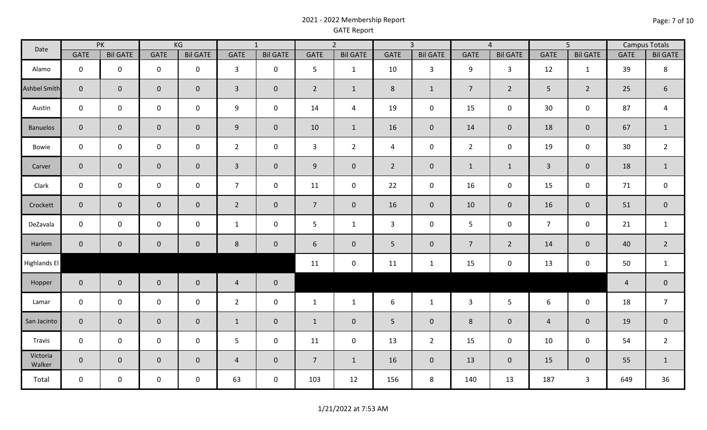## 2021 - 2022 Membership Report GATE Report

| Date                | PK             |                 | KG             |                 | $\overline{1}$ |                 | $\overline{2}$ |                     | $\overline{3}$ |                 | $\overline{4}$ |                 | $\overline{5}$ |                  | <b>Campus Totals</b> |                 |
|---------------------|----------------|-----------------|----------------|-----------------|----------------|-----------------|----------------|---------------------|----------------|-----------------|----------------|-----------------|----------------|------------------|----------------------|-----------------|
|                     | <b>GATE</b>    | <b>Bil GATE</b> | <b>GATE</b>    | <b>Bil GATE</b> | <b>GATE</b>    | <b>Bil GATE</b> | <b>GATE</b>    | <b>Bil GATE</b>     | <b>GATE</b>    | <b>Bil GATE</b> | <b>GATE</b>    | <b>Bil GATE</b> | <b>GATE</b>    | <b>Bil GATE</b>  | <b>GATE</b>          | <b>Bil GATE</b> |
| Alamo               | $\mathbf 0$    | $\mathbf 0$     | $\mathbf 0$    | $\mathbf 0$     | $\mathbf{3}$   | $\mathbf 0$     | 5              | $\mathbf{1}$        | 10             | $\mathbf{3}$    | 9              | $\mathbf{3}$    | 12             | $\mathbf{1}$     | 39                   | 8               |
| <b>Ashbel Smith</b> | $\overline{0}$ | $\mathbf{0}$    | $\overline{0}$ | $\overline{0}$  | $\mathbf{3}$   | $\mathbf 0$     | $\overline{2}$ | $\mathbf{1}$        | 8              | $\mathbf{1}$    | $\overline{7}$ | $2^{\circ}$     | 5              | $\overline{2}$   | 25                   | $6\phantom{1}$  |
| Austin              | $\mathbf 0$    | $\mathbf 0$     | $\mathbf 0$    | $\mathbf 0$     | 9              | $\mathbf 0$     | 14             | $\overline{a}$      | 19             | $\mathbf 0$     | 15             | $\mathbf 0$     | 30             | $\pmb{0}$        | 87                   | $\overline{4}$  |
| <b>Banuelos</b>     | $\mathbf{0}$   | $\mathbf 0$     | $\overline{0}$ | $\overline{0}$  | 9              | $\mathbf 0$     | 10             | $\mathbf{1}$        | 16             | $\overline{0}$  | 14             | $\overline{0}$  | 18             | $\boldsymbol{0}$ | 67                   | $\mathbf{1}$    |
| Bowie               | $\mathbf 0$    | $\mathbf 0$     | $\mathbf 0$    | $\mathbf 0$     | $\overline{2}$ | $\mathbf 0$     | $\mathbf{3}$   | $2^{\circ}$         | 4              | $\mathbf 0$     | $\overline{2}$ | $\mathbf 0$     | 19             | $\pmb{0}$        | 30                   | $\overline{2}$  |
| Carver              | $\overline{0}$ | $\mathbf 0$     | $\mathbf{0}$   | $\overline{0}$  | $\mathbf{3}$   | $\mathbf 0$     | 9              | $\mathsf{O}\xspace$ | $\overline{2}$ | $\mathbf 0$     | $\mathbf{1}$   | $\mathbf{1}$    | $\overline{3}$ | $\mathbf 0$      | 18                   | $\mathbf{1}$    |
| Clark               | $\mathbf 0$    | $\mathbf 0$     | $\mathbf 0$    | $\mathbf 0$     | $\overline{7}$ | $\mathbf 0$     | 11             | $\pmb{0}$           | 22             | $\mathbf 0$     | 16             | $\mathbf 0$     | 15             | $\pmb{0}$        | 71                   | $\pmb{0}$       |
| Crockett            | $\mathbf{0}$   | $\overline{0}$  | $\mathbf{0}$   | $\overline{0}$  | $\overline{2}$ | $\mathbf 0$     | $\overline{7}$ | $\overline{0}$      | 16             | $\overline{0}$  | 10             | $\overline{0}$  | 16             | $\pmb{0}$        | 51                   | $\overline{0}$  |
| DeZavala            | $\mathbf 0$    | $\mathbf 0$     | $\mathbf 0$    | $\mathbf 0$     | $\mathbf{1}$   | $\mathsf 0$     | 5              | $\mathbf{1}$        | 3              | $\mathbf 0$     | 5              | $\mathbf 0$     | $\overline{7}$ | $\pmb{0}$        | 21                   | $\mathbf{1}$    |
| Harlem              | $\mathbf{0}$   | $\mathbf 0$     | $\mathbf 0$    | $\overline{0}$  | 8              | $\mathbf 0$     | 6              | $\mathbf 0$         | 5              | $\mathbf 0$     | $\overline{7}$ | $\overline{2}$  | 14             | $\mathbf 0$      | 40                   | $2^{\circ}$     |
| <b>Highlands El</b> |                |                 |                |                 |                |                 | 11             | $\mathsf{O}\xspace$ | 11             | $\mathbf{1}$    | 15             | $\mathbf 0$     | 13             | $\pmb{0}$        | 50                   | $\mathbf{1}$    |
| Hopper              | $\mathbf 0$    | $\mathbf{0}$    | $\mathbf 0$    | $\overline{0}$  | $\overline{4}$ | $\pmb{0}$       |                |                     |                |                 |                |                 |                |                  | $\overline{4}$       | $\overline{0}$  |
| Lamar               | $\mathbf 0$    | $\mathbf 0$     | $\mathbf 0$    | $\mathbf 0$     | $\overline{2}$ | $\mathsf 0$     | $\mathbf{1}$   | $\mathbf{1}$        | 6              | $\mathbf{1}$    | $\mathbf{3}$   | 5 <sup>5</sup>  | 6              | $\mathbf 0$      | 18                   | $\overline{7}$  |
| San Jacinto         | $\overline{0}$ | $\mathbf{0}$    | $\overline{0}$ | $\overline{0}$  | $\mathbf{1}$   | $\mathbf 0$     | $\mathbf{1}$   | $\mathbf{0}$        | 5              | $\mathbf 0$     | 8              | $\overline{0}$  | $\overline{4}$ | $\mathbf 0$      | 19                   | $\overline{0}$  |
| Travis              | $\mathbf 0$    | $\mathbf 0$     | $\mathbf 0$    | $\mathbf 0$     | 5              | $\mathbf 0$     | 11             | $\mathsf{O}\xspace$ | 13             | $\overline{2}$  | 15             | $\mathbf 0$     | 10             | $\pmb{0}$        | 54                   | $\overline{2}$  |
| Victoria<br>Walker  | $\overline{0}$ | $\mathbf 0$     | $\overline{0}$ | $\overline{0}$  | $\overline{4}$ | $\mathbf 0$     | $\overline{7}$ | $\mathbf{1}$        | 16             | $\mathbf 0$     | 13             | $\overline{0}$  | 15             | $\pmb{0}$        | 55                   | $\mathbf{1}$    |
| Total               | $\mathbf 0$    | $\mathbf 0$     | $\mathsf{O}$   | $\mathbf 0$     | 63             | $\mathsf 0$     | 103            | 12                  | 156            | 8               | 140            | 13              | 187            | $\mathsf{3}$     | 649                  | 36              |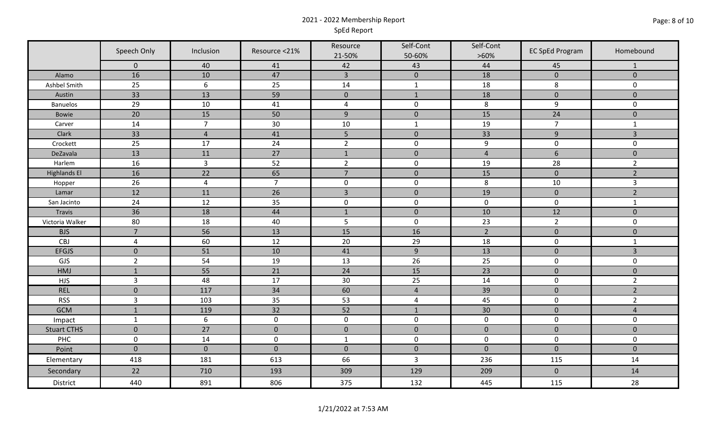## 2021 - 2022 Membership Report SpEd Report

|                     | Speech Only    | Inclusion        | Resource <21%  | Resource<br>21-50% | Self-Cont<br>50-60% | Self-Cont<br>$>60\%$ | <b>EC SpEd Program</b> | Homebound      |
|---------------------|----------------|------------------|----------------|--------------------|---------------------|----------------------|------------------------|----------------|
|                     | $\mathbf 0$    | 40               | 41             | 42                 | 43                  | 44                   | 45                     | -1             |
| Alamo               | 16             | 10               | 47             | $\overline{3}$     | $\pmb{0}$           | 18                   | $\mathbf{0}$           | $\mathbf{0}$   |
| Ashbel Smith        | 25             | $\boldsymbol{6}$ | 25             | 14                 | $\mathbf{1}$        | 18                   | 8                      | $\mathbf 0$    |
| Austin              | 33             | 13               | 59             | $\mathbf{0}$       | $\mathbf{1}$        | 18                   | $\mathbf{0}$           | $\mathbf{0}$   |
| <b>Banuelos</b>     | 29             | 10               | 41             | $\overline{a}$     | $\mathbf 0$         | 8                    | 9                      | $\mathbf 0$    |
| Bowie               | 20             | 15               | 50             | $\overline{9}$     | $\mathbf 0$         | 15                   | 24                     | $\pmb{0}$      |
| Carver              | 14             | $\overline{7}$   | $30\,$         | $10\,$             | $\mathbf{1}$        | 19                   | $\overline{7}$         | $\mathbf{1}$   |
| Clark               | 33             | $\sqrt{4}$       | 41             | 5                  | $\mathbf{0}$        | 33                   | 9                      | $\overline{3}$ |
| Crockett            | 25             | 17               | 24             | $\overline{2}$     | $\mathbf 0$         | 9                    | $\mathbf 0$            | $\mathbf 0$    |
| DeZavala            | 13             | 11               | 27             | $\mathbf 1$        | $\mathbf 0$         | $\overline{4}$       | $6\phantom{a}$         | $\mathbf{0}$   |
| Harlem              | 16             | $\overline{3}$   | 52             | $\overline{2}$     | $\pmb{0}$           | 19                   | 28                     | $\overline{2}$ |
| <b>Highlands El</b> | 16             | 22               | 65             | $\overline{7}$     | $\pmb{0}$           | 15                   | $\pmb{0}$              | $\overline{2}$ |
| Hopper              | 26             | $\overline{4}$   | $\overline{7}$ | $\mathbf 0$        | $\mathbf 0$         | 8                    | $10\,$                 | $\overline{3}$ |
| Lamar               | 12             | 11               | 26             | $\overline{3}$     | $\mathbf 0$         | 19                   | $\mathbf 0$            | $\overline{2}$ |
| San Jacinto         | 24             | 12               | 35             | $\pmb{0}$          | $\mathbf 0$         | $\mathbf 0$          | $\mathbf 0$            | $\mathbf{1}$   |
| Travis              | 36             | 18               | 44             | $\mathbf 1$        | $\mathbf 0$         | 10                   | 12                     | $\mathbf{0}$   |
| Victoria Walker     | 80             | 18               | 40             | 5                  | $\mathsf{O}\xspace$ | 23                   | $\overline{2}$         | $\mathbf 0$    |
| <b>BJS</b>          | $\overline{7}$ | 56               | 13             | 15                 | 16                  | $\overline{2}$       | $\mathbf 0$            | $\mathbf 0$    |
| CBJ                 | $\overline{4}$ | 60               | 12             | 20                 | 29                  | 18                   | $\mathbf 0$            | $\mathbf{1}$   |
| <b>EFGJS</b>        | $\mathbf 0$    | 51               | 10             | 41                 | 9                   | $\overline{13}$      | $\mathbf 0$            | $\overline{3}$ |
| GJS                 | $\overline{2}$ | 54               | 19             | 13                 | 26                  | 25                   | $\mathbf 0$            | $\mathbf 0$    |
| HMJ                 | $1\,$          | 55               | 21             | 24                 | 15                  | 23                   | $\mathbf 0$            | $\mathbf 0$    |
| <b>HJS</b>          | $\mathsf 3$    | 48               | 17             | 30                 | 25                  | 14                   | $\mathbf 0$            | $\overline{2}$ |
| <b>REL</b>          | $\mathbf 0$    | 117              | 34             | 60                 | $\overline{4}$      | 39                   | $\mathbf 0$            | $\overline{2}$ |
| <b>RSS</b>          | $\overline{3}$ | 103              | 35             | 53                 | 4                   | 45                   | $\mathbf 0$            | $\overline{2}$ |
| <b>GCM</b>          | $\mathbf 1$    | 119              | 32             | 52                 | $\mathbf{1}$        | 30                   | $\pmb{0}$              | $\overline{4}$ |
| Impact              | $\mathbf{1}$   | $\boldsymbol{6}$ | $\mathbf 0$    | $\mathbf 0$        | $\mathbf 0$         | $\mathbf 0$          | $\mathbf 0$            | $\mathbf 0$    |
| <b>Stuart CTHS</b>  | $\mathbf 0$    | 27               | $\mathbf 0$    | $\mathbf 0$        | $\mathbf 0$         | $\mathbf{0}$         | $\mathbf{0}$           | $\mathbf{0}$   |
| PHC                 | $\pmb{0}$      | 14               | $\pmb{0}$      | $\mathbf{1}$       | $\mathbf 0$         | $\mathbf 0$          | $\mathbf 0$            | $\mathbf 0$    |
| Point               | $\mathbf 0$    | $\mathbf 0$      | $\mathbf 0$    | $\mathbf 0$        | $\mathbf 0$         | $\mathbf{0}$         | $\mathbf{0}$           | $\mathbf{0}$   |
| Elementary          | 418            | 181              | 613            | 66                 | 3                   | 236                  | 115                    | 14             |
| Secondary           | 22             | 710              | 193            | 309                | 129                 | 209                  | $\mathbf 0$            | 14             |
| District            | 440            | 891              | 806            | 375                | 132                 | 445                  | 115                    | 28             |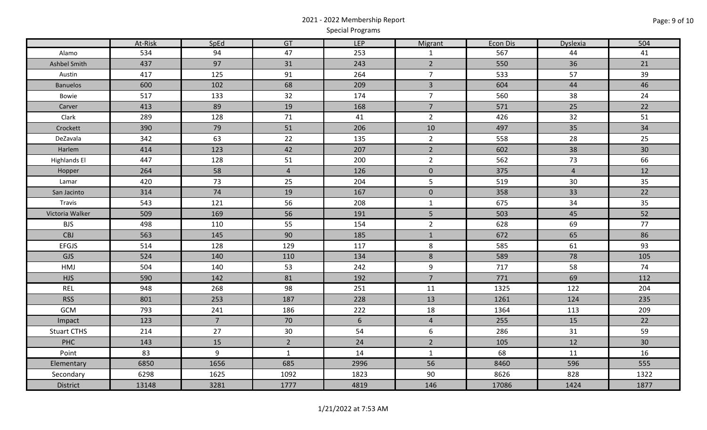# 2021 - 2022 Membership Report Special Programs

|                     | At-Risk | SpEd           | GT              | <b>LEP</b>      | Migrant        | Econ Dis | <b>Dyslexia</b> | 504             |
|---------------------|---------|----------------|-----------------|-----------------|----------------|----------|-----------------|-----------------|
| Alamo               | 534     | 94             | 47              | 253             | $\mathbf{1}$   | 567      | 44              | 41              |
| Ashbel Smith        | 437     | 97             | 31              | 243             | $\overline{2}$ | 550      | 36              | 21              |
| Austin              | 417     | 125            | 91              | 264             | $\overline{7}$ | 533      | 57              | 39              |
| <b>Banuelos</b>     | 600     | 102            | 68              | 209             | $\overline{3}$ | 604      | 44              | 46              |
| Bowie               | 517     | 133            | 32              | 174             | $\overline{7}$ | 560      | 38              | 24              |
| Carver              | 413     | 89             | 19              | 168             | $\overline{7}$ | 571      | 25              | 22              |
| Clark               | 289     | 128            | 71              | 41              | $\overline{2}$ | 426      | 32              | 51              |
| Crockett            | 390     | 79             | 51              | 206             | 10             | 497      | 35              | 34              |
| DeZavala            | 342     | 63             | 22              | 135             | $\overline{2}$ | 558      | 28              | 25              |
| Harlem              | 414     | 123            | 42              | 207             | $\overline{2}$ | 602      | 38              | 30 <sup>°</sup> |
| <b>Highlands El</b> | 447     | 128            | 51              | 200             | $\overline{2}$ | 562      | 73              | 66              |
| Hopper              | 264     | 58             | $\overline{4}$  | 126             | $\mathbf 0$    | 375      | $\overline{4}$  | 12              |
| Lamar               | 420     | 73             | 25              | 204             | $5\phantom{.}$ | 519      | 30              | 35              |
| San Jacinto         | 314     | $74$           | 19              | 167             | $\mathbf 0$    | 358      | 33              | 22              |
| Travis              | 543     | 121            | 56              | 208             | $\mathbf{1}$   | 675      | 34              | 35              |
| Victoria Walker     | 509     | 169            | 56              | 191             | $\overline{5}$ | 503      | 45              | 52              |
| <b>BJS</b>          | 498     | 110            | 55              | 154             | $\overline{2}$ | 628      | 69              | 77              |
| CBJ                 | 563     | 145            | 90              | 185             | $\mathbf{1}$   | 672      | 65              | 86              |
| EFGJS               | 514     | 128            | 129             | 117             | 8              | 585      | 61              | 93              |
| GJS                 | 524     | 140            | 110             | 134             | $8\phantom{1}$ | 589      | 78              | 105             |
| HMJ                 | 504     | 140            | 53              | 242             | 9              | 717      | 58              | 74              |
| <b>HJS</b>          | 590     | 142            | 81              | 192             | $\overline{7}$ | 771      | 69              | 112             |
| <b>REL</b>          | 948     | 268            | 98              | 251             | 11             | 1325     | 122             | 204             |
| <b>RSS</b>          | 801     | 253            | 187             | 228             | 13             | 1261     | 124             | 235             |
| GCM                 | 793     | 241            | 186             | 222             | 18             | 1364     | 113             | 209             |
| Impact              | 123     | $\overline{7}$ | 70              | $6\overline{6}$ | $\overline{4}$ | 255      | 15              | 22              |
| <b>Stuart CTHS</b>  | 214     | 27             | 30 <sup>°</sup> | 54              | 6              | 286      | 31              | 59              |
| PHC                 | 143     | 15             | $\overline{2}$  | 24              | $\overline{2}$ | 105      | 12              | 30 <sup>°</sup> |
| Point               | 83      | 9              | $\mathbf{1}$    | 14              | $\mathbf{1}$   | 68       | 11              | 16              |
| Elementary          | 6850    | 1656           | 685             | 2996            | 56             | 8460     | 596             | 555             |
| Secondary           | 6298    | 1625           | 1092            | 1823            | 90             | 8626     | 828             | 1322            |
| District            | 13148   | 3281           | 1777            | 4819            | 146            | 17086    | 1424            | 1877            |